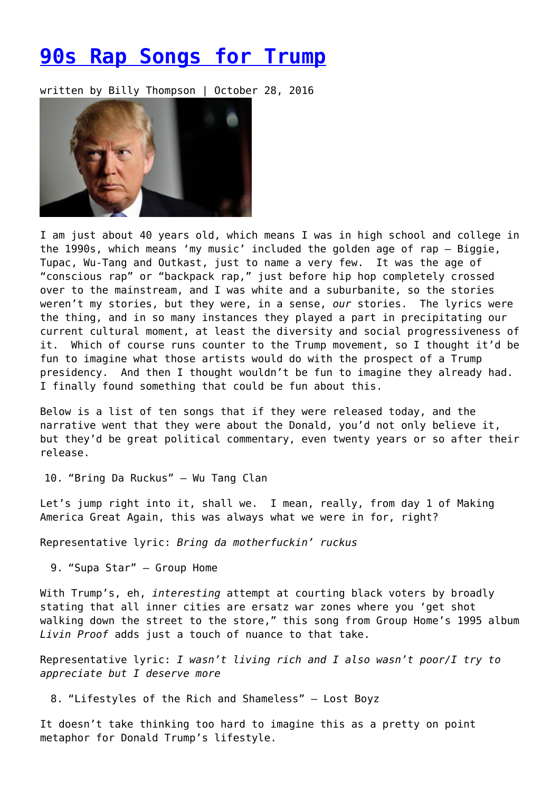## **[90s Rap Songs for Trump](https://entropymag.org/90s-rap-songs-for-trump/)**

written by Billy Thompson | October 28, 2016



I am just about 40 years old, which means I was in high school and college in the 1990s, which means 'my music' included the golden age of rap – Biggie, Tupac, Wu-Tang and Outkast, just to name a very few. It was the age of "conscious rap" or "backpack rap," just before hip hop completely crossed over to the mainstream, and I was white and a suburbanite, so the stories weren't my stories, but they were, in a sense, *our* stories. The lyrics were the thing, and in so many instances they played a part in precipitating our current cultural moment, at least the diversity and social progressiveness of it. Which of course runs counter to the Trump movement, so I thought it'd be fun to imagine what those artists would do with the prospect of a Trump presidency. And then I thought wouldn't be fun to imagine they already had. I finally found something that could be fun about this.

Below is a list of ten songs that if they were released today, and the narrative went that they were about the Donald, you'd not only believe it, but they'd be great political commentary, even twenty years or so after their release.

10. "Bring Da Ruckus" – Wu Tang Clan

Let's jump right into it, shall we. I mean, really, from day 1 of Making America Great Again, this was always what we were in for, right?

Representative lyric: *Bring da motherfuckin' ruckus*

9. "Supa Star" – Group Home

With Trump's, eh, *interesting* attempt at courting black voters by broadly stating that all inner cities are ersatz war zones where you 'get shot walking down the street to the store," this song from Group Home's 1995 album *Livin Proof* adds just a touch of nuance to that take.

Representative lyric: *I wasn't living rich and I also wasn't poor/I try to appreciate but I deserve more*

8. "Lifestyles of the Rich and Shameless" – Lost Boyz

It doesn't take thinking too hard to imagine this as a pretty on point metaphor for Donald Trump's lifestyle.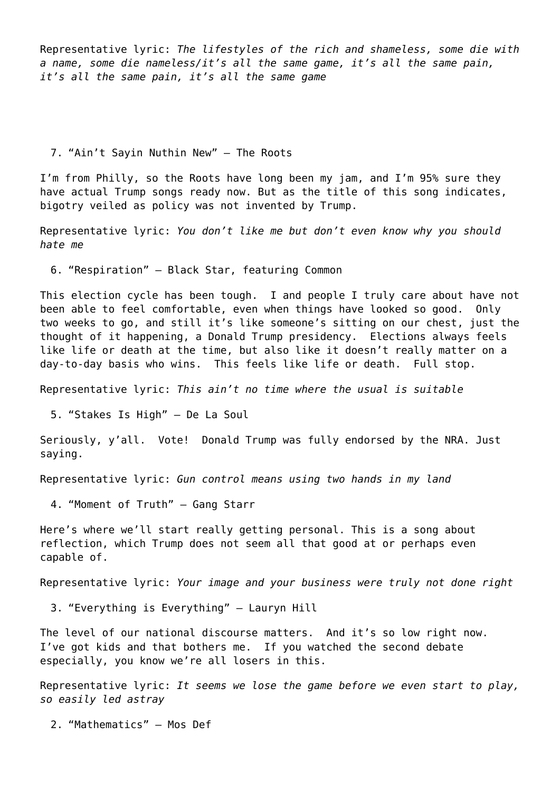Representative lyric: *The lifestyles of the rich and shameless, some die with a name, some die nameless/it's all the same game, it's all the same pain, it's all the same pain, it's all the same game*

7. "Ain't Sayin Nuthin New" – The Roots

I'm from Philly, so the Roots have long been my jam, and I'm 95% sure they have actual Trump songs ready now. But as the title of this song indicates, bigotry veiled as policy was not invented by Trump.

Representative lyric: *You don't like me but don't even know why you should hate me*

6. "Respiration" – Black Star, featuring Common

This election cycle has been tough. I and people I truly care about have not been able to feel comfortable, even when things have looked so good. Only two weeks to go, and still it's like someone's sitting on our chest, just the thought of it happening, a Donald Trump presidency. Elections always feels like life or death at the time, but also like it doesn't really matter on a day-to-day basis who wins. This feels like life or death. Full stop.

Representative lyric: *This ain't no time where the usual is suitable*

5. "Stakes Is High" – De La Soul

Seriously, y'all. Vote! Donald Trump was fully endorsed by the NRA. Just saying.

Representative lyric: *Gun control means using two hands in my land*

4. "Moment of Truth" – Gang Starr

Here's where we'll start really getting personal. This is a song about reflection, which Trump does not seem all that good at or perhaps even capable of.

Representative lyric: *Your image and your business were truly not done right*

3. "Everything is Everything" – Lauryn Hill

The level of our national discourse matters. And it's so low right now. I've got kids and that bothers me. If you watched the second debate especially, you know we're all losers in this.

Representative lyric: *It seems we lose the game before we even start to play, so easily led astray*

2. "Mathematics" – Mos Def